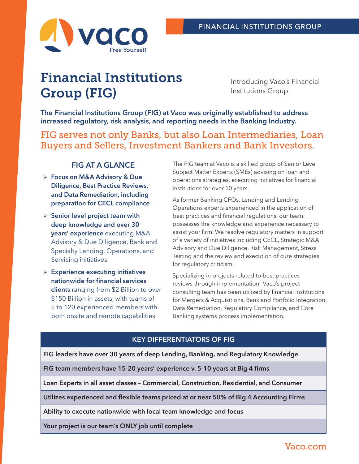

# Financial Institutions Group (FIG)

Introducing Vaco's Financial Institutions Group

**The Financial Institutions Group (FIG) at Vaco was originally established to address increased regulatory, risk analysis, and reporting needs in the Banking Industry.** 

FIG serves not only Banks, but also Loan Intermediaries, Loan Buyers and Sellers, Investment Bankers and Bank Investors.

## **FIG AT A GLANCE**

- ¾ **Focus on M&A Advisory & Due Diligence, Best Practice Reviews, and Data Remediation, including preparation for CECL compliance**
- ¾ **Senior level project team with deep knowledge and over 30 years' experience** executing M&A Advisory & Due Diligence, Bank and Specialty Lending, Operations, and Servicing initiatives
- ¾ **Experience executing initiatives nationwide for financial services clients** ranging from \$2 Billion to over \$150 Billion in assets, with teams of 5 to 120 experienced members with both onsite and remote capabilities

The FIG team at Vaco is a skilled group of Senior Level Subject Matter Experts (SMEs) advising on loan and operations strategies, executing initiatives for financial institutions for over 10 years.

As former Banking CFOs, Lending and Lending Operations experts experienced in the application of best practices and financial regulations, our team possesses the knowledge and experience necessary to assist your firm. We resolve regulatory matters in support of a variety of initiatives including CECL, Strategic M&A Advisory and Due Diligence, Risk Management, Stress Testing and the review and execution of cure strategies for regulatory criticism.

Specializing in projects related to best practices reviews through implementation—Vaco's project consulting team has been utilized by financial institutions for Mergers & Acquisitions, Bank and Portfolio Integration, Data Remediation, Regulatory Compliance, and Core Banking systems process implementation.

## **KEY DIFFERENTIATORS OF FIG**

**FIG leaders have over 30 years of deep Lending, Banking, and Regulatory Knowledge**

**FIG team members have 15-20 years' experience v. 5-10 years at Big 4 firms**

**Loan Experts in all asset classes – Commercial, Construction, Residential, and Consumer**

**Utilizes experienced and flexible teams priced at or near 50% of Big 4 Accounting Firms**

**Ability to execute nationwide with local team knowledge and focus**

**Your project is our team's ONLY job until complete**